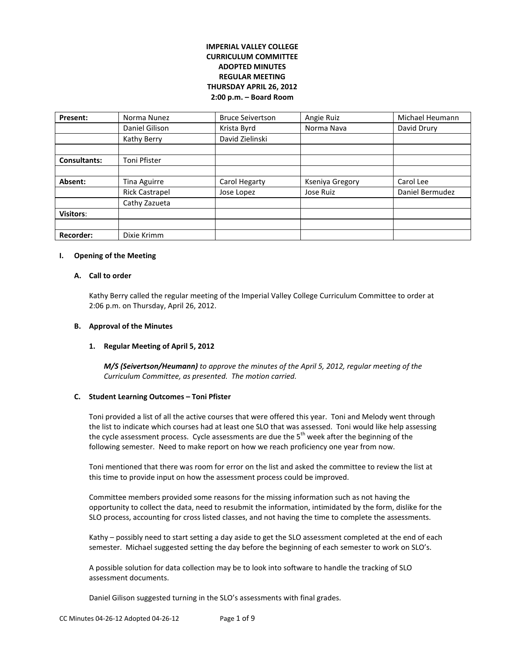# **IMPERIAL VALLEY COLLEGE CURRICULUM COMMITTEE ADOPTED MINUTES REGULAR MEETING THURSDAY APRIL 26, 2012 2:00 p.m. – Board Room**

| Present:            | Norma Nunez           | <b>Bruce Seivertson</b> | Angie Ruiz      | Michael Heumann |
|---------------------|-----------------------|-------------------------|-----------------|-----------------|
|                     | Daniel Gilison        | Krista Byrd             | Norma Nava      | David Drury     |
|                     | Kathy Berry           | David Zielinski         |                 |                 |
|                     |                       |                         |                 |                 |
| <b>Consultants:</b> | Toni Pfister          |                         |                 |                 |
|                     |                       |                         |                 |                 |
| Absent:             | Tina Aguirre          | Carol Hegarty           | Kseniya Gregory | Carol Lee       |
|                     | <b>Rick Castrapel</b> | Jose Lopez              | Jose Ruiz       | Daniel Bermudez |
|                     | Cathy Zazueta         |                         |                 |                 |
| <b>Visitors:</b>    |                       |                         |                 |                 |
|                     |                       |                         |                 |                 |
| <b>Recorder:</b>    | Dixie Krimm           |                         |                 |                 |

#### **I. Opening of the Meeting**

### **A. Call to order**

Kathy Berry called the regular meeting of the Imperial Valley College Curriculum Committee to order at 2:06 p.m. on Thursday, April 26, 2012.

### **B. Approval of the Minutes**

### **1. Regular Meeting of April 5, 2012**

*M/S (Seivertson/Heumann) to approve the minutes of the April 5, 2012, regular meeting of the Curriculum Committee, as presented. The motion carried.*

### **C. Student Learning Outcomes – Toni Pfister**

Toni provided a list of all the active courses that were offered this year. Toni and Melody went through the list to indicate which courses had at least one SLO that was assessed. Toni would like help assessing the cycle assessment process. Cycle assessments are due the  $5<sup>th</sup>$  week after the beginning of the following semester. Need to make report on how we reach proficiency one year from now.

Toni mentioned that there was room for error on the list and asked the committee to review the list at this time to provide input on how the assessment process could be improved.

Committee members provided some reasons for the missing information such as not having the opportunity to collect the data, need to resubmit the information, intimidated by the form, dislike for the SLO process, accounting for cross listed classes, and not having the time to complete the assessments.

Kathy – possibly need to start setting a day aside to get the SLO assessment completed at the end of each semester. Michael suggested setting the day before the beginning of each semester to work on SLO's.

A possible solution for data collection may be to look into software to handle the tracking of SLO assessment documents.

Daniel Gilison suggested turning in the SLO's assessments with final grades.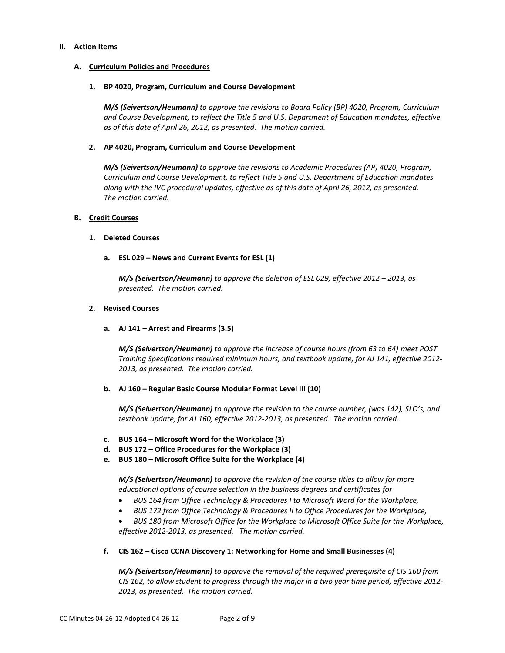#### **II. Action Items**

### **A. Curriculum Policies and Procedures**

#### **1. BP 4020, Program, Curriculum and Course Development**

*M/S (Seivertson/Heumann) to approve the revisions to Board Policy (BP) 4020, Program, Curriculum and Course Development, to reflect the Title 5 and U.S. Department of Education mandates, effective as of this date of April 26, 2012, as presented. The motion carried.*

#### **2. AP 4020, Program, Curriculum and Course Development**

*M/S (Seivertson/Heumann) to approve the revisions to Academic Procedures (AP) 4020, Program, Curriculum and Course Development, to reflect Title 5 and U.S. Department of Education mandates along with the IVC procedural updates, effective as of this date of April 26, 2012, as presented. The motion carried.*

### **B. Credit Courses**

#### **1. Deleted Courses**

### **a. ESL 029 – News and Current Events for ESL (1)**

*M/S (Seivertson/Heumann) to approve the deletion of ESL 029, effective 2012 – 2013, as presented. The motion carried.*

#### **2. Revised Courses**

### **a. AJ 141 – Arrest and Firearms (3.5)**

*M/S (Seivertson/Heumann) to approve the increase of course hours (from 63 to 64) meet POST Training Specifications required minimum hours, and textbook update, for AJ 141, effective 2012- 2013, as presented. The motion carried.*

#### **b. AJ 160 – Regular Basic Course Modular Format Level III (10)**

*M/S (Seivertson/Heumann) to approve the revision to the course number, (was 142), SLO's, and textbook update, for AJ 160, effective 2012-2013, as presented. The motion carried.*

- **c. BUS 164 – Microsoft Word for the Workplace (3)**
- **d. BUS 172 – Office Procedures for the Workplace (3)**
- **e. BUS 180 – Microsoft Office Suite for the Workplace (4)**

*M/S (Seivertson/Heumann) to approve the revision of the course titles to allow for more educational options of course selection in the business degrees and certificates for*

- *BUS 164 from Office Technology & Procedures I to Microsoft Word for the Workplace,*
- *BUS 172 from Office Technology & Procedures II to Office Procedures for the Workplace,*
- *BUS 180 from Microsoft Office for the Workplace to Microsoft Office Suite for the Workplace, effective 2012-2013, as presented. The motion carried.*

### **f. CIS 162 – Cisco CCNA Discovery 1: Networking for Home and Small Businesses (4)**

*M/S (Seivertson/Heumann) to approve the removal of the required prerequisite of CIS 160 from CIS 162, to allow student to progress through the major in a two year time period, effective 2012- 2013, as presented. The motion carried.*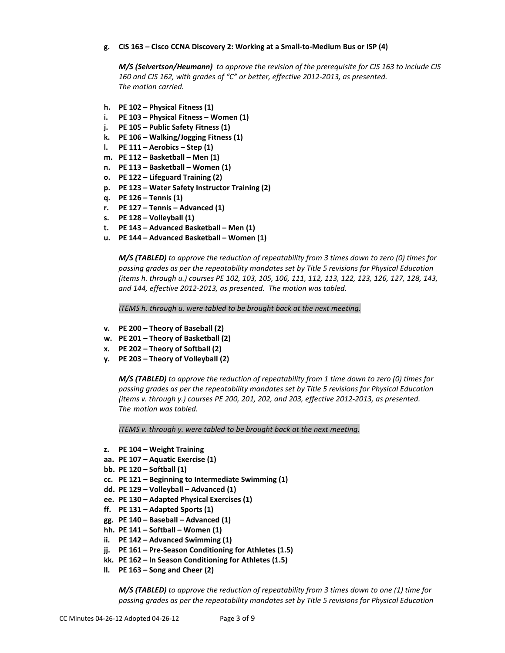## **g. CIS 163 – Cisco CCNA Discovery 2: Working at a Small-to-Medium Bus or ISP (4)**

*M/S (Seivertson/Heumann) to approve the revision of the prerequisite for CIS 163 to include CIS 160 and CIS 162, with grades of "C" or better, effective 2012-2013, as presented. The motion carried.*

- **h. PE 102 – Physical Fitness (1)**
- **i. PE 103 – Physical Fitness – Women (1)**
- **j. PE 105 – Public Safety Fitness (1)**
- **k. PE 106 – Walking/Jogging Fitness (1)**
- **l. PE 111 – Aerobics – Step (1)**
- **m. PE 112 – Basketball – Men (1)**
- **n. PE 113 – Basketball – Women (1)**
- **o. PE 122 – Lifeguard Training (2)**
- **p. PE 123 – Water Safety Instructor Training (2)**
- **q. PE 126 – Tennis (1)**
- **r. PE 127 – Tennis – Advanced (1)**
- **s. PE 128 – Volleyball (1)**
- **t. PE 143 – Advanced Basketball – Men (1)**
- **u. PE 144 – Advanced Basketball – Women (1)**

*M/S (TABLED) to approve the reduction of repeatability from 3 times down to zero (0) times for passing grades as per the repeatability mandates set by Title 5 revisions for Physical Education (items h. through u.) courses PE 102, 103, 105, 106, 111, 112, 113, 122, 123, 126, 127, 128, 143, and 144, effective 2012-2013, as presented. The motion was tabled.*

*ITEMS h. through u. were tabled to be brought back at the next meeting.*

- **v. PE 200 – Theory of Baseball (2)**
- **w. PE 201 – Theory of Basketball (2)**
- **x. PE 202 – Theory of Softball (2)**
- **y. PE 203 – Theory of Volleyball (2)**

*M/S (TABLED) to approve the reduction of repeatability from 1 time down to zero (0) times for passing grades as per the repeatability mandates set by Title 5 revisions for Physical Education (items v. through y.) courses PE 200, 201, 202, and 203, effective 2012-2013, as presented. The motion was tabled.*

*ITEMS v. through y. were tabled to be brought back at the next meeting.*

- **z. PE 104 – Weight Training**
- **aa. PE 107 – Aquatic Exercise (1)**
- **bb. PE 120 – Softball (1)**
- **cc. PE 121 – Beginning to Intermediate Swimming (1)**
- **dd. PE 129 – Volleyball – Advanced (1)**
- **ee. PE 130 – Adapted Physical Exercises (1)**
- **ff. PE 131 – Adapted Sports (1)**
- **gg. PE 140 – Baseball – Advanced (1)**
- **hh. PE 141 – Softball – Women (1)**
- **ii. PE 142 – Advanced Swimming (1)**
- **jj. PE 161 – Pre-Season Conditioning for Athletes (1.5)**
- **kk. PE 162 – In Season Conditioning for Athletes (1.5)**
- **ll. PE 163 – Song and Cheer (2)**

*M/S (TABLED) to approve the reduction of repeatability from 3 times down to one (1) time for passing grades as per the repeatability mandates set by Title 5 revisions for Physical Education*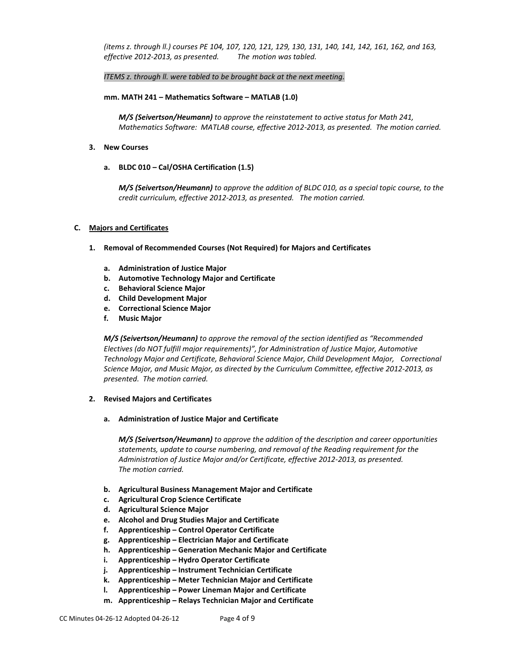*(items z. through ll.) courses PE 104, 107, 120, 121, 129, 130, 131, 140, 141, 142, 161, 162, and 163, effective 2012-2013, as presented. The motion was tabled.*

## *ITEMS z. through ll. were tabled to be brought back at the next meeting.*

### **mm. MATH 241 – Mathematics Software – MATLAB (1.0)**

*M/S (Seivertson/Heumann) to approve the reinstatement to active status for Math 241, Mathematics Software: MATLAB course, effective 2012-2013, as presented. The motion carried.*

- **3. New Courses**
	- **a. BLDC 010 – Cal/OSHA Certification (1.5)**

*M/S (Seivertson/Heumann) to approve the addition of BLDC 010, as a special topic course, to the credit curriculum, effective 2012-2013, as presented. The motion carried.*

## **C. Majors and Certificates**

- **1. Removal of Recommended Courses (Not Required) for Majors and Certificates**
	- **a. Administration of Justice Major**
	- **b. Automotive Technology Major and Certificate**
	- **c. Behavioral Science Major**
	- **d. Child Development Major**
	- **e. Correctional Science Major**
	- **f. Music Major**

*M/S (Seivertson/Heumann) to approve the removal of the section identified as "Recommended Electives (do NOT fulfill major requirements)", for Administration of Justice Major, Automotive Technology Major and Certificate, Behavioral Science Major, Child Development Major, Correctional Science Major, and Music Major, as directed by the Curriculum Committee, effective 2012-2013, as presented. The motion carried.*

# **2. Revised Majors and Certificates**

**a. Administration of Justice Major and Certificate**

*M/S (Seivertson/Heumann) to approve the addition of the description and career opportunities statements, update to course numbering, and removal of the Reading requirement for the Administration of Justice Major and/or Certificate, effective 2012-2013, as presented. The motion carried.*

- **b. Agricultural Business Management Major and Certificate**
- **c. Agricultural Crop Science Certificate**
- **d. Agricultural Science Major**
- **e. Alcohol and Drug Studies Major and Certificate**
- **f. Apprenticeship – Control Operator Certificate**
- **g. Apprenticeship – Electrician Major and Certificate**
- **h. Apprenticeship – Generation Mechanic Major and Certificate**
- **i. Apprenticeship – Hydro Operator Certificate**
- **j. Apprenticeship – Instrument Technician Certificate**
- **k. Apprenticeship – Meter Technician Major and Certificate**
- **l. Apprenticeship – Power Lineman Major and Certificate**
- **m. Apprenticeship – Relays Technician Major and Certificate**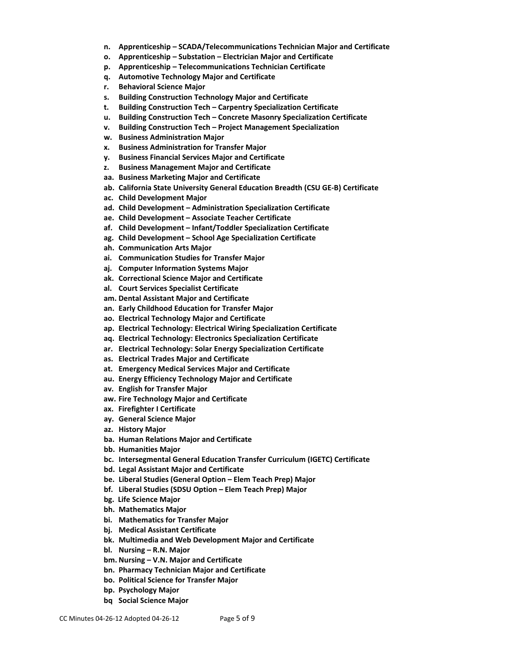- **n. Apprenticeship – SCADA/Telecommunications Technician Major and Certificate**
- **o. Apprenticeship – Substation – Electrician Major and Certificate**
- **p. Apprenticeship – Telecommunications Technician Certificate**
- **q. Automotive Technology Major and Certificate**
- **r. Behavioral Science Major**
- **s. Building Construction Technology Major and Certificate**
- **t. Building Construction Tech – Carpentry Specialization Certificate**
- **u. Building Construction Tech – Concrete Masonry Specialization Certificate**
- **v. Building Construction Tech – Project Management Specialization**
- **w. Business Administration Major**
- **x. Business Administration for Transfer Major**
- **y. Business Financial Services Major and Certificate**
- **z. Business Management Major and Certificate**
- **aa. Business Marketing Major and Certificate**
- **ab. California State University General Education Breadth (CSU GE-B) Certificate**
- **ac. Child Development Major**
- **ad. Child Development – Administration Specialization Certificate**
- **ae. Child Development – Associate Teacher Certificate**
- **af. Child Development – Infant/Toddler Specialization Certificate**
- **ag. Child Development – School Age Specialization Certificate**
- **ah. Communication Arts Major**
- **ai. Communication Studies for Transfer Major**
- **aj. Computer Information Systems Major**
- **ak. Correctional Science Major and Certificate**
- **al. Court Services Specialist Certificate**
- **am. Dental Assistant Major and Certificate**
- **an. Early Childhood Education for Transfer Major**
- **ao. Electrical Technology Major and Certificate**
- **ap. Electrical Technology: Electrical Wiring Specialization Certificate**
- **aq. Electrical Technology: Electronics Specialization Certificate**
- **ar. Electrical Technology: Solar Energy Specialization Certificate**
- **as. Electrical Trades Major and Certificate**
- **at. Emergency Medical Services Major and Certificate**
- **au. Energy Efficiency Technology Major and Certificate**
- **av. English for Transfer Major**
- **aw. Fire Technology Major and Certificate**
- **ax. Firefighter I Certificate**
- **ay. General Science Major**
- **az. History Major**
- **ba. Human Relations Major and Certificate**
- **bb. Humanities Major**
- **bc. Intersegmental General Education Transfer Curriculum (IGETC) Certificate**
- **bd. Legal Assistant Major and Certificate**
- **be. Liberal Studies (General Option – Elem Teach Prep) Major**
- **bf. Liberal Studies (SDSU Option – Elem Teach Prep) Major**
- **bg. Life Science Major**
- **bh. Mathematics Major**
- **bi. Mathematics for Transfer Major**
- **bj. Medical Assistant Certificate**
- **bk. Multimedia and Web Development Major and Certificate**
- **bl. Nursing – R.N. Major**
- **bm. Nursing – V.N. Major and Certificate**
- **bn. Pharmacy Technician Major and Certificate**
- **bo. Political Science for Transfer Major**
- **bp. Psychology Major**
- **bq Social Science Major**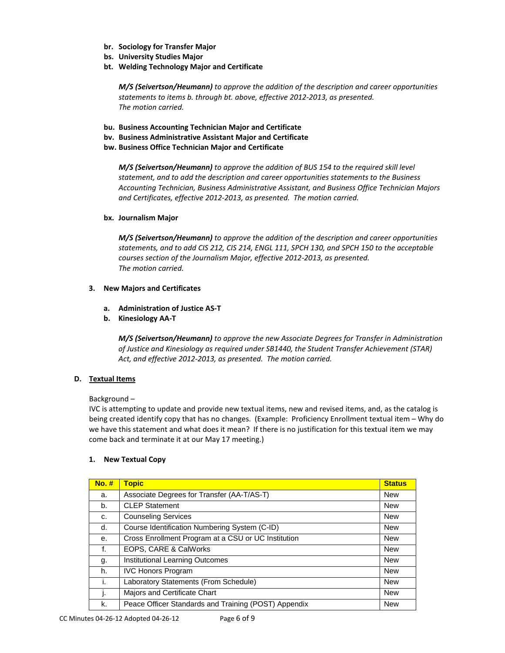- **br. Sociology for Transfer Major**
- **bs. University Studies Major**
- **bt. Welding Technology Major and Certificate**

*M/S (Seivertson/Heumann) to approve the addition of the description and career opportunities statements to items b. through bt. above, effective 2012-2013, as presented. The motion carried.*

- **bu. Business Accounting Technician Major and Certificate**
- **bv. Business Administrative Assistant Major and Certificate**
- **bw. Business Office Technician Major and Certificate**

*M/S (Seivertson/Heumann) to approve the addition of BUS 154 to the required skill level statement, and to add the description and career opportunities statements to the Business Accounting Technician, Business Administrative Assistant, and Business Office Technician Majors and Certificates, effective 2012-2013, as presented. The motion carried.*

## **bx. Journalism Major**

*M/S (Seivertson/Heumann) to approve the addition of the description and career opportunities statements, and to add CIS 212, CIS 214, ENGL 111, SPCH 130, and SPCH 150 to the acceptable courses section of the Journalism Major, effective 2012-2013, as presented. The motion carried.*

## **3. New Majors and Certificates**

- **a. Administration of Justice AS-T**
- **b. Kinesiology AA-T**

*M/S (Seivertson/Heumann) to approve the new Associate Degrees for Transfer in Administration of Justice and Kinesiology as required under SB1440, the Student Transfer Achievement (STAR) Act, and effective 2012-2013, as presented. The motion carried.*

# **D. Textual Items**

# Background –

IVC is attempting to update and provide new textual items, new and revised items, and, as the catalog is being created identify copy that has no changes. (Example: Proficiency Enrollment textual item – Why do we have this statement and what does it mean? If there is no justification for this textual item we may come back and terminate it at our May 17 meeting.)

# **1. New Textual Copy**

| $No.$ # | <b>Topic</b>                                         | <b>Status</b> |
|---------|------------------------------------------------------|---------------|
| a.      | Associate Degrees for Transfer (AA-T/AS-T)           | <b>New</b>    |
| b.      | <b>CLEP Statement</b>                                | <b>New</b>    |
| C.      | <b>Counseling Services</b>                           | <b>New</b>    |
| d.      | Course Identification Numbering System (C-ID)        | <b>New</b>    |
| е.      | Cross Enrollment Program at a CSU or UC Institution  | <b>New</b>    |
| f.      | EOPS, CARE & CalWorks                                | New           |
| g.      | Institutional Learning Outcomes                      | <b>New</b>    |
| h.      | <b>IVC Honors Program</b>                            | <b>New</b>    |
|         | Laboratory Statements (From Schedule)                | <b>New</b>    |
| ı.      | Majors and Certificate Chart                         | <b>New</b>    |
| k.      | Peace Officer Standards and Training (POST) Appendix | <b>New</b>    |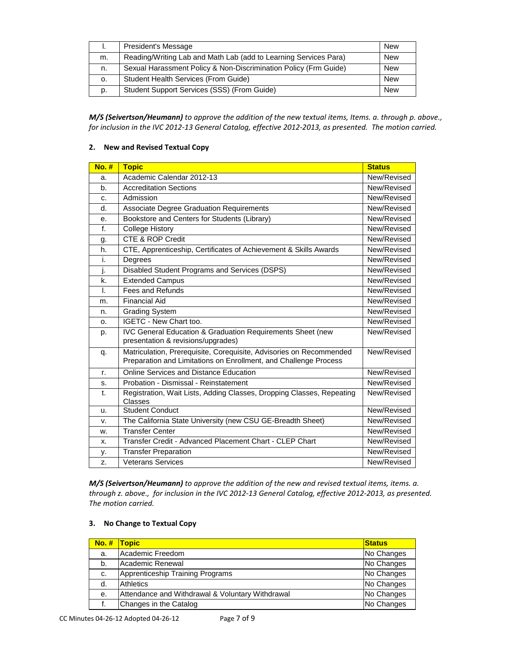|    | President's Message                                              | <b>New</b> |
|----|------------------------------------------------------------------|------------|
| m. | Reading/Writing Lab and Math Lab (add to Learning Services Para) | <b>New</b> |
| n. | Sexual Harassment Policy & Non-Discrimination Policy (Frm Guide) | <b>New</b> |
| о. | Student Health Services (From Guide)                             | <b>New</b> |
| D. | Student Support Services (SSS) (From Guide)                      | <b>New</b> |

*M/S (Seivertson/Heumann) to approve the addition of the new textual items, Items. a. through p. above., for inclusion in the IVC 2012-13 General Catalog, effective 2012-2013, as presented. The motion carried.* 

# **2. New and Revised Textual Copy**

| <b>No. #</b> | <b>Topic</b>                                                                                                                            | <b>Status</b> |
|--------------|-----------------------------------------------------------------------------------------------------------------------------------------|---------------|
| a.           | Academic Calendar 2012-13                                                                                                               | New/Revised   |
| b.           | <b>Accreditation Sections</b>                                                                                                           | New/Revised   |
| c.           | Admission                                                                                                                               | New/Revised   |
| d.           | Associate Degree Graduation Requirements                                                                                                | New/Revised   |
| е.           | Bookstore and Centers for Students (Library)                                                                                            | New/Revised   |
| f.           | <b>College History</b>                                                                                                                  | New/Revised   |
| g.           | <b>CTE &amp; ROP Credit</b>                                                                                                             | New/Revised   |
| h.           | CTE, Apprenticeship, Certificates of Achievement & Skills Awards                                                                        | New/Revised   |
| i.           | Degrees                                                                                                                                 | New/Revised   |
| j.           | Disabled Student Programs and Services (DSPS)                                                                                           | New/Revised   |
| k.           | <b>Extended Campus</b>                                                                                                                  | New/Revised   |
| L            | Fees and Refunds                                                                                                                        | New/Revised   |
| m.           | <b>Financial Aid</b>                                                                                                                    | New/Revised   |
| n.           | <b>Grading System</b>                                                                                                                   | New/Revised   |
| о.           | IGETC - New Chart too.                                                                                                                  | New/Revised   |
| p.           | <b>IVC General Education &amp; Graduation Requirements Sheet (new</b><br>presentation & revisions/upgrades)                             | New/Revised   |
| q.           | Matriculation, Prerequisite, Corequisite, Advisories on Recommended<br>Preparation and Limitations on Enrollment, and Challenge Process | New/Revised   |
| r.           | Online Services and Distance Education                                                                                                  | New/Revised   |
| s.           | Probation - Dismissal - Reinstatement                                                                                                   | New/Revised   |
| t.           | Registration, Wait Lists, Adding Classes, Dropping Classes, Repeating<br>Classes                                                        | New/Revised   |
| u.           | <b>Student Conduct</b>                                                                                                                  | New/Revised   |
| v.           | The California State University (new CSU GE-Breadth Sheet)                                                                              | New/Revised   |
| W.           | <b>Transfer Center</b>                                                                                                                  | New/Revised   |
| X.           | Transfer Credit - Advanced Placement Chart - CLEP Chart                                                                                 | New/Revised   |
| у.           | <b>Transfer Preparation</b>                                                                                                             | New/Revised   |
| Z.           | <b>Veterans Services</b>                                                                                                                | New/Revised   |

*M/S (Seivertson/Heumann) to approve the addition of the new and revised textual items, items. a. through z. above., for inclusion in the IVC 2012-13 General Catalog, effective 2012-2013, as presented. The motion carried.*

## **3. No Change to Textual Copy**

| $No.$ # | <b>Topic</b>                                     | <b>Status</b> |
|---------|--------------------------------------------------|---------------|
| a.      | Academic Freedom                                 | No Changes    |
| b.      | Academic Renewal                                 | No Changes    |
| c.      | Apprenticeship Training Programs                 | No Changes    |
| d.      | <b>Athletics</b>                                 | No Changes    |
| е.      | Attendance and Withdrawal & Voluntary Withdrawal | No Changes    |
|         | Changes in the Catalog                           | No Changes    |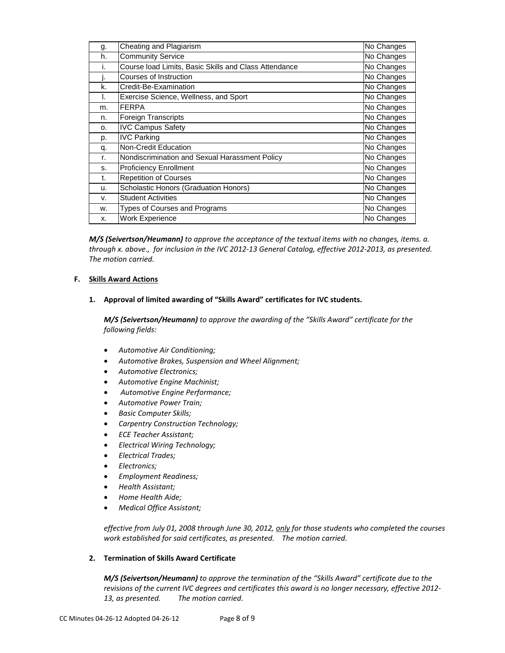| g. | Cheating and Plagiarism                               | No Changes |
|----|-------------------------------------------------------|------------|
| h. | <b>Community Service</b>                              | No Changes |
| ۱. | Course load Limits, Basic Skills and Class Attendance | No Changes |
| J. | Courses of Instruction                                | No Changes |
| k. | Credit-Be-Examination                                 | No Changes |
| I. | Exercise Science, Wellness, and Sport                 | No Changes |
| m. | <b>FERPA</b>                                          | No Changes |
| n. | Foreign Transcripts                                   | No Changes |
| о. | <b>IVC Campus Safety</b>                              | No Changes |
| p. | <b>IVC Parking</b>                                    | No Changes |
| q. | Non-Credit Education                                  | No Changes |
| r. | Nondiscrimination and Sexual Harassment Policy        | No Changes |
| s. | <b>Proficiency Enrollment</b>                         | No Changes |
| t. | <b>Repetition of Courses</b>                          | No Changes |
| u. | Scholastic Honors (Graduation Honors)                 | No Changes |
| v. | <b>Student Activities</b>                             | No Changes |
| w. | Types of Courses and Programs                         | No Changes |
| X. | <b>Work Experience</b>                                | No Changes |

*M/S (Seivertson/Heumann) to approve the acceptance of the textual items with no changes, items. a. through x. above., for inclusion in the IVC 2012-13 General Catalog, effective 2012-2013, as presented. The motion carried.*

# **F. Skills Award Actions**

**1. Approval of limited awarding of "Skills Award" certificates for IVC students.**

*M/S (Seivertson/Heumann) to approve the awarding of the "Skills Award" certificate for the following fields:* 

- *Automotive Air Conditioning;*
- *Automotive Brakes, Suspension and Wheel Alignment;*
- *Automotive Electronics;*
- *Automotive Engine Machinist;*
- *Automotive Engine Performance;*
- *Automotive Power Train;*
- *Basic Computer Skills;*
- *Carpentry Construction Technology;*
- *ECE Teacher Assistant;*
- *Electrical Wiring Technology;*
- *Electrical Trades;*
- *Electronics;*
- *Employment Readiness;*
- *Health Assistant;*
- *Home Health Aide;*
- *Medical Office Assistant;*

*effective from July 01, 2008 through June 30, 2012, only for those students who completed the courses work established for said certificates, as presented. The motion carried.*

# **2. Termination of Skills Award Certificate**

*M/S (Seivertson/Heumann) to approve the termination of the "Skills Award" certificate due to the revisions of the current IVC degrees and certificates this award is no longer necessary, effective 2012- 13, as presented. The motion carried.*